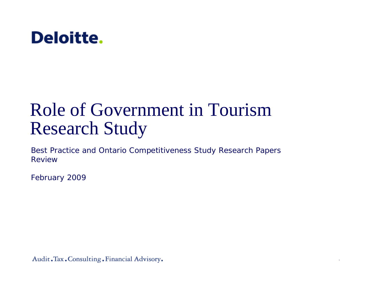

# Role of Government in Tourism Research Study

Best Practice and Ontario Competitiveness Study Research Papers Review

February 2009

Audit. Tax. Consulting. Financial Advisory.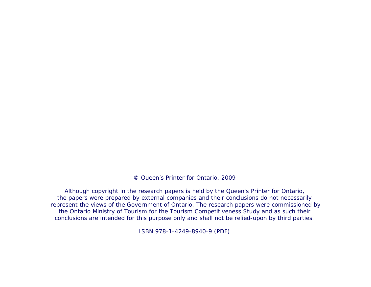© Queen's Printer for Ontario, 2009

Although copyright in the research papers is held by the Queen's Printer for Ontario, the papers were prepared by external companies and their conclusions do not necessarily represent the views of the Government of Ontario. The research papers were commissioned by the Ontario Ministry of Tourism for the Tourism Competitiveness Study and as such their conclusions are intended for this purpose only and shall not be relied-upon by third parties.

ISBN 978-1-4249-8940-9 (PDF)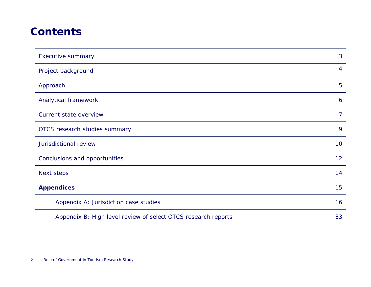#### **Contents**

| <b>Executive summary</b>                                      | 3              |
|---------------------------------------------------------------|----------------|
| Project background                                            | $\overline{4}$ |
| Approach                                                      | 5              |
| Analytical framework                                          | 6              |
| Current state overview                                        | $\overline{7}$ |
| OTCS research studies summary                                 | 9              |
| Jurisdictional review                                         | 10             |
| Conclusions and opportunities                                 | 12             |
| Next steps                                                    | 14             |
| <b>Appendices</b>                                             | 15             |
| Appendix A: Jurisdiction case studies                         | 16             |
| Appendix B: High level review of select OTCS research reports | 33             |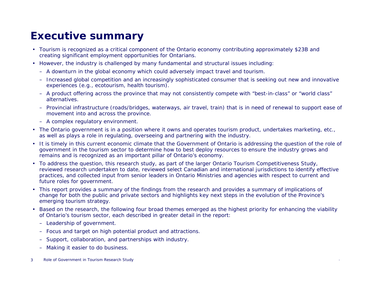### **Executive summary**

- Tourism is recognized as a critical component of the Ontario economy contributing approximately \$23B and creating significant employment opportunities for Ontarians.
- However, the industry is challenged by many fundamental and structural issues including:
	- A downturn in the global economy which could adversely impact travel and tourism.
	- Increased global competition and an increasingly sophisticated consumer that is seeking out new and innovative experiences (e.g., ecotourism, health tourism).
	- A product offering across the province that may not consistently compete with "best-in-class" or "world class" alternatives.
	- Provincial infrastructure (roads/bridges, waterways, air travel, train) that is in need of renewal to support ease of movement into and across the province.
	- A complex regulatory environment.
- The Ontario government is in a position where it owns and operates tourism product, undertakes marketing, etc., as well as plays a role in regulating, overseeing and partnering with the industry.
- It is timely in this current economic climate that the Government of Ontario is addressing the question of the role of government in the tourism sector to determine how to best deploy resources to ensure the industry grows and remains and is recognized as an important pillar of Ontario's economy.
- To address the question, this research study, as part of the larger Ontario Tourism Competitiveness Study, reviewed research undertaken to date, reviewed select Canadian and international jurisdictions to identify effective practices, and collected input from senior leaders in Ontario Ministries and agencies with respect to current and future roles for government.
- This report provides a summary of the findings from the research and provides a summary of implications of change for both the public and private sectors and highlights key next steps in the evolution of the Province's emerging tourism strategy.
- • Based on the research, the following four broad themes emerged as the highest priority for enhancing the viability of Ontario's tourism sector, each described in greater detail in the report:
	- Leadership of government.
	- Focus and target on high potential product and attractions.
	- Support, collaboration, and partnerships with industry.
	- Making it easier to do business.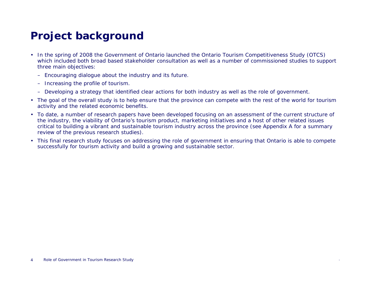## **Project background**

- In the spring of 2008 the Government of Ontario launched the Ontario Tourism Competitiveness Study (OTCS) which included both broad based stakeholder consultation as well as a number of commissioned studies to support three main objectives:
	- Encouraging dialogue about the industry and its future.
	- Increasing the profile of tourism.
	- Developing a strategy that identified clear actions for both industry as well as the role of government.
- The goal of the overall study is to help ensure that the province can compete with the rest of the world for tourism activity and the related economic benefits.
- To date, a number of research papers have been developed focusing on an assessment of the current structure of the industry, the viability of Ontario's tourism product, marketing initiatives and a host of other related issues critical to building a vibrant and sustainable tourism industry across the province (see Appendix A for a summary review of the previous research studies).
- This final research study focuses on addressing the role of government in ensuring that Ontario is able to compete successfully for tourism activity and build a growing and sustainable sector.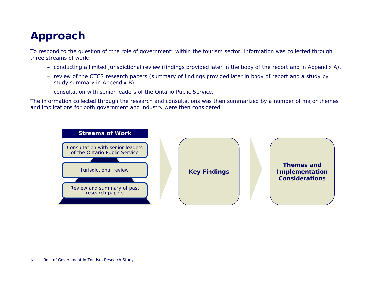### **Approach**

To respond to the question of "the role of government" within the tourism sector, information was collected through three streams of work:

- conducting a limited jurisdictional review (findings provided later in the body of the report and in Appendix A).
- review of the OTCS research papers (summary of findings provided later in body of report and a study by study summary in Appendix B).
- consultation with senior leaders of the Ontario Public Service.

The information collected through the research and consultations was then summarized by a number of major themes and implications for both government and industry were then considered.

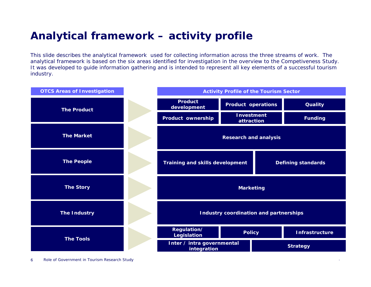### **Analytical framework – activity profile**

This slide describes the analytical framework used for collecting information across the three streams of work. The analytical framework is based on the six areas identified for investigation in the overview to the Competiveness Study. It was developed to guide information gathering and is intended to represent all key elements of a successful tourism industry.

| <b>OTCS Areas of Investigation</b> |                                                                     |  | <b>Activity Profile of the Tourism Sector</b> |                       |
|------------------------------------|---------------------------------------------------------------------|--|-----------------------------------------------|-----------------------|
| <b>The Product</b>                 | <b>Product</b><br>development                                       |  | <b>Product operations</b>                     | <b>Quality</b>        |
|                                    | <b>Product ownership</b>                                            |  | <b>Investment</b><br>attraction               | <b>Funding</b>        |
| <b>The Market</b>                  | <b>Research and analysis</b>                                        |  |                                               |                       |
| <b>The People</b>                  | <b>Training and skills development</b><br><b>Defining standards</b> |  |                                               |                       |
| <b>The Story</b>                   | <b>Marketing</b>                                                    |  |                                               |                       |
| <b>The Industry</b>                | <b>Industry coordination and partnerships</b>                       |  |                                               |                       |
| <b>The Tools</b>                   | Regulation/<br><b>Legislation</b>                                   |  | <b>Policy</b>                                 | <b>Infrastructure</b> |
|                                    | Inter / intra governmental<br>integration                           |  |                                               | <b>Strategy</b>       |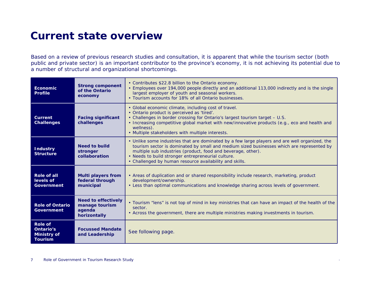#### **Current state overview**

Based on a review of previous research studies and consultation, it is apparent that while the tourism sector (both public and private sector) is an important contributor to the province's economy, it is not achieving its potential due to a number of structural and organizational shortcomings.

| <b>Economic</b><br><b>Profile</b>                                   | <b>Strong component</b><br>of the Ontario<br>economy                   | • Contributes \$22.8 billion to the Ontario economy.<br>• Employees over 194,000 people directly and an additional 113,000 indirectly and is the single<br>largest employer of youth and seasonal workers.<br>• Tourism accounts for 18% of all Ontario businesses.                                                                                                          |
|---------------------------------------------------------------------|------------------------------------------------------------------------|------------------------------------------------------------------------------------------------------------------------------------------------------------------------------------------------------------------------------------------------------------------------------------------------------------------------------------------------------------------------------|
| <b>Current</b><br><b>Challenges</b>                                 | <b>Facing significant</b><br>challenges                                | • Global economic climate, including cost of travel.<br>· Ontario product is perceived as 'tired'.<br>. Challenges in border crossing for Ontario's largest tourism target - U.S.<br>• Increasing competitive global market with new/innovative products (e.g., eco and health and<br>wellness).<br>• Multiple stakeholders with multiple interests.                         |
| <b>Industry</b><br><b>Structure</b>                                 | <b>Need to build</b><br>stronger<br>collaboration                      | • Unlike some industries that are dominated by a few large players and are well organized, the<br>tourism sector is dominated by small and medium sized businesses which are represented by<br>multiple sub industries (product, food and beverage, other).<br>• Needs to build stronger entrepreneurial culture.<br>• Challenged by human resource availability and skills. |
| Role of all<br>levels of<br><b>Government</b>                       | <b>Multi players from</b><br>federal through<br>municipal              | • Areas of duplication and or shared responsibility include research, marketing, product<br>development/ownership.<br>• Less than optimal communications and knowledge sharing across levels of government.                                                                                                                                                                  |
| <b>Role of Ontario</b><br><b>Government</b>                         | <b>Need to effectively</b><br>manage tourism<br>agenda<br>horizontally | • Tourism "lens" is not top of mind in key ministries that can have an impact of the health of the<br>sector.<br>• Across the government, there are multiple ministries making investments in tourism.                                                                                                                                                                       |
| <b>Role of</b><br>Ontario's<br><b>Ministry of</b><br><b>Tourism</b> | <b>Focussed Mandate</b><br>and Leadership                              | See following page.                                                                                                                                                                                                                                                                                                                                                          |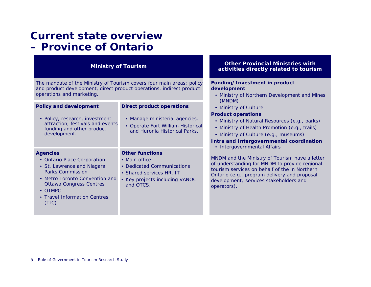#### **Current state overview – Province of Ontario**

The mandate of the Ministry of Tourism covers four main areas: policy and product development, direct product operations, indirect product operations and marketing.

| <b>Policy and development</b><br>• Policy, research, investment<br>attraction, festivals and events<br>funding and other product<br>development.                                                                                | <b>Direct product operations</b><br>• Manage ministerial agencies.<br>• Operate Fort William Historical<br>and Huronia Historical Parks.         | Pro<br>Int.                              |
|---------------------------------------------------------------------------------------------------------------------------------------------------------------------------------------------------------------------------------|--------------------------------------------------------------------------------------------------------------------------------------------------|------------------------------------------|
| <b>Agencies</b><br>• Ontario Place Corporation<br>• St. Lawrence and Niagara<br><b>Parks Commission</b><br>• Metro Toronto Convention and<br><b>Ottawa Congress Centres</b><br>• OTMPC<br>• Travel Information Centres<br>(TIC) | <b>Other functions</b><br>• Main office<br>• Dedicated Communications<br>• Shared services HR, IT<br>• Key projects including VANOC<br>and OTCS. | MNI<br>of u<br>toui<br>Ont<br>dev<br>ope |

#### **Other Provincial Ministries with activities directly related to tourism Ministry of Tourism**

#### **Funding/Investment in product development**

- Ministry of Northern Development and Mines (MNDM)
- Ministry of Culture

#### **Product operations**

- Ministry of Natural Resources (e.g., parks)
- Ministry of Health Promotion (e.g., trails)
- Ministry of Culture (e.g., museums)

#### **Intra and Intergovernmental coordination**

Intergovernmental Affairs

DM and the Ministry of Tourism have a letter anderstanding for MNDM to provide regional rism services on behalf of the in Northern ario (e.g., program delivery and proposal elopment; services stakeholders and rators).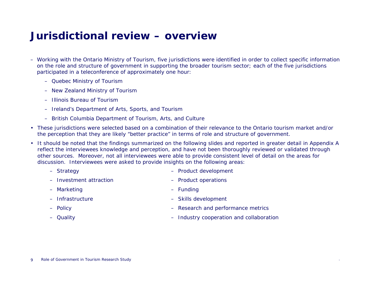#### **Jurisdictional review – overview**

- Working with the Ontario Ministry of Tourism, five jurisdictions were identified in order to collect specific information on the role and structure of government in supporting the broader tourism sector; each of the five jurisdictions participated in a teleconference of approximately one hour:
	- Quebec Ministry of Tourism
	- New Zealand Ministry of Tourism
	- Illinois Bureau of Tourism
	- Ireland's Department of Arts, Sports, and Tourism
	- British Columbia Department of Tourism, Arts, and Culture
- These jurisdictions were selected based on a combination of their relevance to the Ontario tourism market and/or the perception that they are likely "better practice" in terms of role and structure of government.
- It should be noted that the findings summarized on the following slides and reported in greater detail in Appendix A reflect the interviewees knowledge and perception, and have not been thoroughly reviewed or validated through other sources. Moreover, not all interviewees were able to provide consistent level of detail on the areas for discussion. Interviewees were asked to provide insights on the following areas:
	- Strategy
	- Investment attraction
	- Marketing
	- Infrastructure
	- Policy
	- Quality
- Product development
- Product operations
- Funding
- Skills development
- Research and performance metrics
- Industry cooperation and collaboration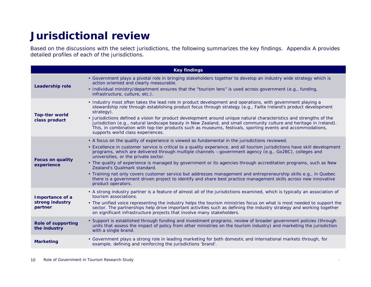#### **Jurisdictional review**

Based on the discussions with the select jurisdictions, the following summarizes the key findings. Appendix A provides detailed profiles of each of the jurisdictions.

|                                               | <b>Key findings</b>                                                                                                                                                                                                                                                                                                                                                                                                                                                                                                                                                                                                                                                                                                                                                                               |
|-----------------------------------------------|---------------------------------------------------------------------------------------------------------------------------------------------------------------------------------------------------------------------------------------------------------------------------------------------------------------------------------------------------------------------------------------------------------------------------------------------------------------------------------------------------------------------------------------------------------------------------------------------------------------------------------------------------------------------------------------------------------------------------------------------------------------------------------------------------|
| <b>Leadership role</b>                        | • Government plays a pivotal role in bringing stakeholders together to develop an industry wide strategy which is<br>action oriented and clearly measurable.<br>· Individual ministry/department ensures that the "tourism lens" is used across government (e.g., funding,<br>infrastructure, culture, etc.).                                                                                                                                                                                                                                                                                                                                                                                                                                                                                     |
| <b>Top-tier world</b><br>class product        | • Industry most often takes the lead role in product development and operations, with government playing a<br>stewardship role through establishing product focus through strategy (e.g., Failte Ireland's product development<br>strategy).<br>• Jurisdictions defined a vision for product development around unique natural characteristics and strengths of the<br>jurisdiction (e.g., natural landscape beauty in New Zealand, and small community culture and heritage in Ireland).<br>This, in combination with top-tier products such as museums, festivals, sporting events and accommodations,<br>supports world class experiences.                                                                                                                                                     |
| <b>Focus on quality</b><br>experience         | • A focus on the quality of experience is viewed as fundamental in the jurisdictions reviewed.<br>• Excellence in customer service is critical to a quality experience, and all tourism jurisdictions have skill development<br>programs, which are delivered through multiple channels --government agency (e.g., Go2BC), colleges and<br>universities, or the private sector.<br>• The quality of experience is managed by government or its agencies through accreditation programs, such as New<br>Zealand's Qualmark standard.<br>• Training not only covers customer service but addresses management and entrepreneurship skills e.g., in Quebec<br>there is a government driven project to identify and share best practice management skills across new innovative<br>product operators. |
| Importance of a<br>strong industry<br>partner | • A strong industry partner is a feature of almost all of the jurisdictions examined, which is typically an association of<br>tourism associations.<br>• The unified voice representing the industry helps the tourism ministries focus on what is most needed to support the<br>sector. The partnerships help drive important activities such as defining the industry strategy and working together<br>on significant infrastructure projects that involve many stakeholders.                                                                                                                                                                                                                                                                                                                   |
| <b>Role of supporting</b><br>the industry     | • Support is established through funding and investment programs, review of broader government policies (through<br>units that assess the impact of policy from other ministries on the tourism industry) and marketing the jurisdiction<br>with a single brand.                                                                                                                                                                                                                                                                                                                                                                                                                                                                                                                                  |
| <b>Marketing</b>                              | • Government plays a strong role in leading marketing for both domestic and international markets through, for<br>example, defining and reinforcing the jurisdictions 'brand'.                                                                                                                                                                                                                                                                                                                                                                                                                                                                                                                                                                                                                    |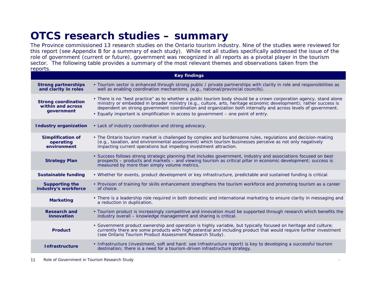#### **OTCS research studies – summary**

The Province commissioned 13 research studies on the Ontario tourism industry. Nine of the studies were reviewed for this report (see Appendix B for a summary of each study). While not all studies specifically addressed the issue of the role of government (current or future), government was recognized in all reports as a pivotal player in the tourism sector. The following table provides a summary of the most relevant themes and observations taken from the reports.

|                                                               | <b>Key findings</b>                                                                                                                                                                                                                                                                                                                                                                                                                             |
|---------------------------------------------------------------|-------------------------------------------------------------------------------------------------------------------------------------------------------------------------------------------------------------------------------------------------------------------------------------------------------------------------------------------------------------------------------------------------------------------------------------------------|
| <b>Strong partnerships</b><br>and clarity in roles            | • Tourism sector is enhanced through strong public / private partnerships with clarity in role and responsibilities as<br>well as enabling coordination mechanisms (e.g., national/provincial councils).                                                                                                                                                                                                                                        |
| <b>Strong coordination</b><br>within and across<br>government | • There is no "best practice" as to whether a public tourism body should be a crown corporation agency, stand alone<br>ministry or embedded in broader ministry (e.g., culture, arts, heritage economic development); rather success is<br>dependent on strong government coordination and organization both internally and across levels of government.<br>• Equally important is simplification in access to government – one point of entry. |
| <b>Industry organization</b>                                  | • Lack of industry coordination and strong advocacy.                                                                                                                                                                                                                                                                                                                                                                                            |
| <b>Simplification of</b><br>operating<br>environment          | • The Ontario tourism market is challenged by complex and burdensome rules, regulations and decision-making<br>(e.g., taxation, and environmental assessment) which tourism businesses perceive as not only negatively<br>impacting current operations but impeding investment attraction.                                                                                                                                                      |
| <b>Strategy Plan</b>                                          | • Success follows strong strategic planning that includes government, industry and associations focused on best<br>prospects – products and markets – and viewing tourism as critical pillar in economic development; success is<br>measured by more than simply volume metrics.                                                                                                                                                                |
| <b>Sustainable funding</b>                                    | . Whether for events, product development or key infrastructure, predictable and sustained funding is critical.                                                                                                                                                                                                                                                                                                                                 |
| <b>Supporting the</b><br>industry's workforce                 | • Provision of training for skills enhancement strengthens the tourism workforce and promoting tourism as a career<br>of choice.                                                                                                                                                                                                                                                                                                                |
| <b>Marketing</b>                                              | • There is a leadership role required in both domestic and international marketing to ensure clarity in messaging and<br>a reduction in duplication.                                                                                                                                                                                                                                                                                            |
| <b>Research and</b><br>innovation                             | • Tourism product is increasingly competitive and innovation must be supported through research which benefits the<br>industry overall – knowledge management and sharing is critical.                                                                                                                                                                                                                                                          |
| <b>Product</b>                                                | . Government product ownership and operation is highly variable, but typically focused on heritage and culture;<br>currently there are some products with high potential and including product that would require further investment<br>(see Ontario Tourism Product Assessment Research Study).                                                                                                                                                |
| <b>Infrastructure</b>                                         | • Infrastructure (investment, soft and hard: see Infrastructure report) is key to developing a successful tourism<br>destination; there is a need for a tourism-driven infrastructure strategy.                                                                                                                                                                                                                                                 |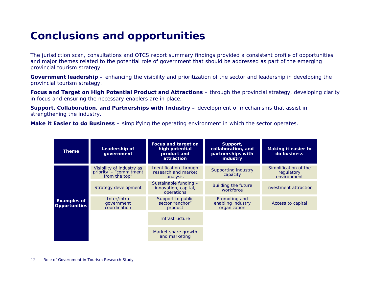#### **Conclusions and opportunities**

The jurisdiction scan, consultations and OTCS report summary findings provided a consistent profile of opportunities and major themes related to the potential role of government that should be addressed as part of the emerging provincial tourism strategy.

**Government leadership –** enhancing the visibility and prioritization of the sector and leadership in developing the provincial tourism strategy.

**Focus and Target on High Potential Product and Attractions** – through the provincial strategy, developing clarity in focus and ensuring the necessary enablers are in place.

**Support, Collaboration, and Partnerships with Industry –** development of mechanisms that assist in strengthening the industry.

**Make it Easier to do Business –** simplifying the operating environment in which the sector operates.

| Theme                                      | Leadership of<br>government                                          | <b>Focus and target on</b><br>high potential<br>product and<br>attraction | Support,<br>collaboration, and<br>partnerships with<br>industry | Making it easier to<br>do business                 |
|--------------------------------------------|----------------------------------------------------------------------|---------------------------------------------------------------------------|-----------------------------------------------------------------|----------------------------------------------------|
|                                            | Visibility of industry as<br>priority - "commitment<br>from the top" | <b>Identification through</b><br>research and market<br>analysis          | Supporting industry<br>capacity                                 | Simplification of the<br>regulatory<br>environment |
| <b>Examples of</b><br><b>Opportunities</b> | Strategy development                                                 | Sustainable funding -<br>innovation, capital,<br>operations               | <b>Building the future</b><br>workforce                         | Investment attraction                              |
|                                            | Inter/intra<br>government<br>coordination                            | Support to public<br>sector "anchor"<br>product                           | Promoting and<br>enabling industry<br>organization              | Access to capital                                  |
|                                            |                                                                      | Infrastructure                                                            |                                                                 |                                                    |
|                                            |                                                                      | Market share growth<br>and marketing                                      |                                                                 |                                                    |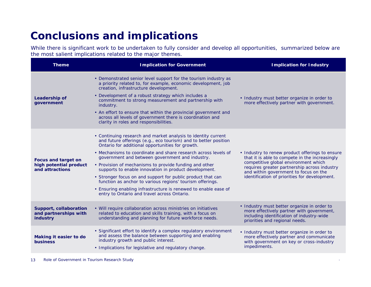#### **Conclusions and implications**

While there is significant work to be undertaken to fully consider and develop all opportunities, summarized below are the most salient implications related to the major themes.

| <b>Theme</b>                                                            | <b>Implication for Government</b>                                                                                                                                                                                                                                                                                                                                                                                                                                                                                                                                                                                                                                          | <b>Implication for Industry</b>                                                                                                                                                                                                                                                     |
|-------------------------------------------------------------------------|----------------------------------------------------------------------------------------------------------------------------------------------------------------------------------------------------------------------------------------------------------------------------------------------------------------------------------------------------------------------------------------------------------------------------------------------------------------------------------------------------------------------------------------------------------------------------------------------------------------------------------------------------------------------------|-------------------------------------------------------------------------------------------------------------------------------------------------------------------------------------------------------------------------------------------------------------------------------------|
| <b>Leadership of</b><br>government                                      | • Demonstrated senior level support for the tourism industry as<br>a priority related to, for example, economic development, job<br>creation, infrastructure development.<br>• Development of a robust strategy which includes a<br>commitment to strong measurement and partnership with<br>industry.<br>• An effort to ensure that within the provincial government and<br>across all levels of government there is coordination and<br>clarity in roles and responsibilities.                                                                                                                                                                                           | • Industry must better organize in order to<br>more effectively partner with government.                                                                                                                                                                                            |
| <b>Focus and target on</b><br>high potential product<br>and attractions | • Continuing research and market analysis to identity current<br>and future offerings (e.g., eco tourism) and to better position<br>Ontario for additional opportunities for growth.<br>• Mechanisms to coordinate and share research across levels of<br>government and between government and industry.<br>• Provision of mechanisms to provide funding and other<br>supports to enable innovation in product development.<br>• Stronger focus on and support for public product that can<br>function as anchor to various regions' tourism offerings.<br>• Ensuring enabling infrastructure is renewed to enable ease of<br>entry to Ontario and travel across Ontario. | • Industry to renew product offerings to ensure<br>that it is able to compete in the increasingly<br>competitive global environment which<br>requires greater partnership across industry<br>and within government to focus on the<br>identification of priorities for development. |
| Support, collaboration<br>and partnerships with<br>industry             | • Will require collaboration across ministries on initiatives<br>related to education and skills training, with a focus on<br>understanding and planning for future workforce needs.                                                                                                                                                                                                                                                                                                                                                                                                                                                                                       | • Industry must better organize in order to<br>more effectively partner with government,<br>including identification of industry-wide<br>priorities and regional needs.                                                                                                             |
| Making it easier to do<br><b>business</b>                               | • Significant effort to identify a complex regulatory environment<br>and assess the balance between supporting and enabling<br>industry growth and public interest.<br>• Implications for legislative and regulatory change.                                                                                                                                                                                                                                                                                                                                                                                                                                               | • Industry must better organize in order to<br>more effectively partner and communicate<br>with government on key or cross-industry<br>impediments.                                                                                                                                 |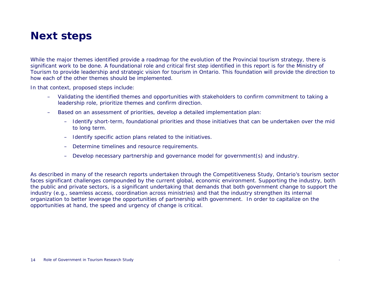#### **Next steps**

While the major themes identified provide a roadmap for the evolution of the Provincial tourism strategy, there is significant work to be done. A foundational role and critical first step identified in this report is for the Ministry of Tourism to provide leadership and strategic vision for tourism in Ontario. This foundation will provide the direction to how each of the other themes should be implemented.

In that context, proposed steps include:

- – Validating the identified themes and opportunities with stakeholders to confirm commitment to taking a leadership role, prioritize themes and confirm direction.
- – Based on an assessment of priorities, develop a detailed implementation plan:
	- Identify short-term, foundational priorities and those initiatives that can be undertaken over the mid to long term.
	- –Identify specific action plans related to the initiatives.
	- –Determine timelines and resource requirements.
	- Develop necessary partnership and governance model for government(s) and industry.

As described in many of the research reports undertaken through the Competitiveness Study, Ontario's tourism sector faces significant challenges compounded by the current global, economic environment. Supporting the industry, both the public and private sectors, is a significant undertaking that demands that both government change to support the industry (e.g., seamless access, coordination across ministries) and that the industry strengthen its internal organization to better leverage the opportunities of partnership with government. In order to capitalize on the opportunities at hand, the speed and urgency of change is critical.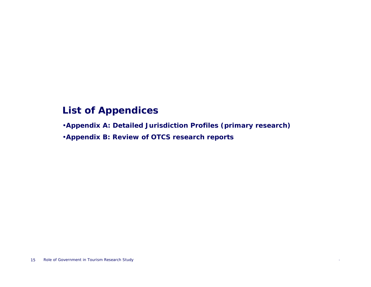#### **List of Appendices**

•**Appendix A: Detailed Jurisdiction Profiles (primary research)**

•**Appendix B: Review of OTCS research reports**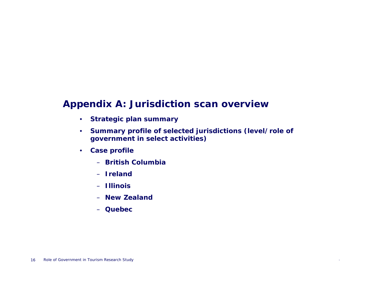#### **Appendix A: Jurisdiction scan overview**

- $\bullet$ **Strategic plan summary**
- $\bullet$  **Summary profile of selected jurisdictions (level/role of government in select activities)**
- **Case profile**
	- **British Columbia**
	- **Ireland**
	- **Illinois**
	- **New Zealand**
	- **Quebec**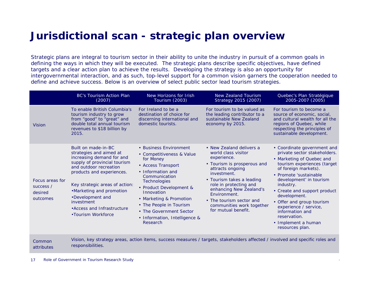#### **Jurisdictional scan - strategic plan overview**

Strategic plans are integral to tourism sector in their ability to unite the industry in pursuit of a common goals in defining the ways in which they will be executed. The strategic plans describe specific objectives, have defined targets and a clear action plan to achieve the results. Developing the strategy is also an opportunity for intergovernmental interaction, and as such, top-level support for a common vision garners the cooperation needed to define and achieve success. Below is an overview of select public sector lead tourism strategies.

|                                                     | <b>BC's Tourism Action Plan</b><br>(2007)                                                                                                                                                                                                                                                                               | New Horizons for Irish<br>Tourism (2003)                                                                                                                                                                                                                                                                            | New Zealand Tourism<br>Strategy 2015 (2007)                                                                                                                                                                                                                                                                        | Quebec's Plan Stratégique<br>2005-2007 (2005)                                                                                                                                                                                                                                                                                                                                                        |
|-----------------------------------------------------|-------------------------------------------------------------------------------------------------------------------------------------------------------------------------------------------------------------------------------------------------------------------------------------------------------------------------|---------------------------------------------------------------------------------------------------------------------------------------------------------------------------------------------------------------------------------------------------------------------------------------------------------------------|--------------------------------------------------------------------------------------------------------------------------------------------------------------------------------------------------------------------------------------------------------------------------------------------------------------------|------------------------------------------------------------------------------------------------------------------------------------------------------------------------------------------------------------------------------------------------------------------------------------------------------------------------------------------------------------------------------------------------------|
| <b>Vision</b>                                       | To enable British Columbia's<br>tourism industry to grow<br>from "good" to "great" and<br>double total annual tourism<br>revenues to \$18 billion by<br>2015.                                                                                                                                                           | For Ireland to be a<br>destination of choice for<br>discerning international and<br>domestic tourists.                                                                                                                                                                                                              | For tourism to be valued as<br>the leading contributor to a<br>sustainable New Zealand<br>economy by 2015.                                                                                                                                                                                                         | For tourism to become a<br>source of economic, social,<br>and cultural wealth for all the<br>regions of Quebec, while<br>respecting the principles of<br>sustainable development.                                                                                                                                                                                                                    |
| Focus areas for<br>success /<br>desired<br>outcomes | Built on made-in-BC<br>strategies and aimed at<br>increasing demand for and<br>supply of provincial tourism<br>and outdoor recreation<br>products and experiences.<br>Key strategic areas of action:<br>•Marketing and promotion<br>•Development and<br>investment<br>• Access and Infrastructure<br>•Tourism Workforce | • Business Environment<br>• Competitiveness & Value<br>for Money<br>• Access Transport<br>• Information and<br>Communication<br>Technologies<br>• Product Development &<br>Innovation<br>• Marketing & Promotion<br>• The People in Tourism<br>• The Government Sector<br>• Information, Intelligence &<br>Research | • New Zealand delivers a<br>world class visitor<br>experience.<br>• Tourism is prosperous and<br>attracts ongoing<br>investment.<br>• Tourism takes a leading<br>role in protecting and<br>enhancing New Zealand's<br>Environment.<br>• The tourism sector and<br>communities work together<br>for mutual benefit. | • Coordinate government and<br>private sector stakeholders.<br>• Marketing of Quebec and<br>tourism experiences (target<br>of foreign markets).<br>• Promote 'sustainable<br>development' in tourism<br>industry.<br>• Create and support product<br>development.<br>• Offer and group tourism<br>experience / service,<br>information and<br>reservation.<br>• Implement a human<br>resources plan. |
| Common                                              |                                                                                                                                                                                                                                                                                                                         |                                                                                                                                                                                                                                                                                                                     | Vision, key strategy areas, action items, success measures / targets, stakeholders affected / involved and specific roles and                                                                                                                                                                                      |                                                                                                                                                                                                                                                                                                                                                                                                      |

attributesresponsibilities.

17Role of Government in Tourism Research Study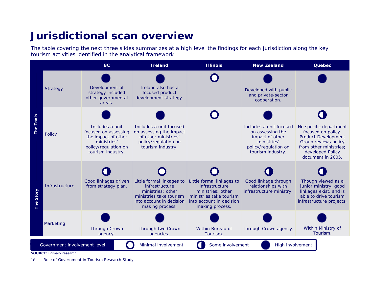#### **Jurisdictional scan overview**

The table covering the next three slides summarizes at a high level the findings for each jurisdiction along the key tourism activities identified in the analytical framework



**SOURCE:** Primary research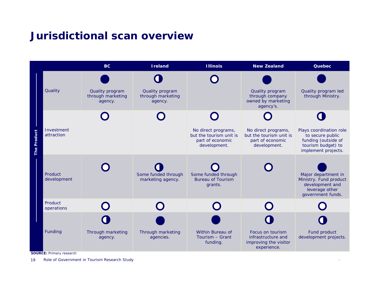#### **Jurisdictional scan overview**



**SOURCE:** Primary research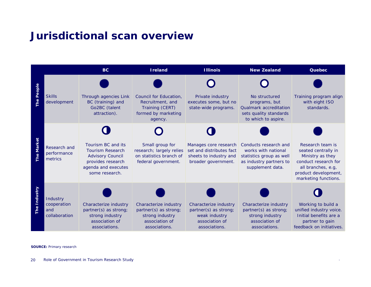#### **Jurisdictional scan overview**



**SOURCE:** Primary research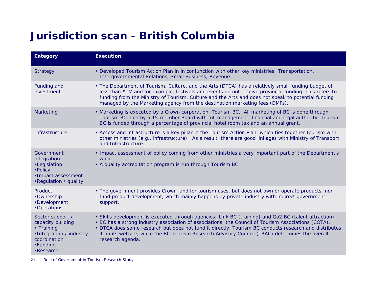### **Jurisdiction scan - British Columbia**

| Category                                                                                                                       | <b>Execution</b>                                                                                                                                                                                                                                                                                                                                                                                                                             |
|--------------------------------------------------------------------------------------------------------------------------------|----------------------------------------------------------------------------------------------------------------------------------------------------------------------------------------------------------------------------------------------------------------------------------------------------------------------------------------------------------------------------------------------------------------------------------------------|
| <b>Strategy</b>                                                                                                                | • Developed Tourism Action Plan in in conjunction with other key ministries: Transportation,<br>Intergovernmental Relations, Small Business, Revenue.                                                                                                                                                                                                                                                                                        |
| Funding and<br>investment                                                                                                      | • The Department of Tourism, Culture, and the Arts (DTCA) has a relatively small funding budget of<br>less than \$1M and for example, festivals and events do not receive provincial funding. This refers to<br>funding from the Ministry of Tourism, Culture and the Arts and does not speak to potential funding<br>managed by the Marketing agency from the destination marketing fees (DMFs).                                            |
| Marketing                                                                                                                      | • Marketing is executed by a Crown corporation, Tourism BC. All marketing of BC is done through<br>Tourism BC. Led by a 15-member Board with full management, financial and legal authority, Tourism<br>BC is funded through a percentage of provincial hotel room tax and an annual grant.                                                                                                                                                  |
| Infrastructure                                                                                                                 | • Access and infrastructure is a key pillar in the Tourism Action Plan, which ties together tourism with<br>other ministries (e.g., infrastructure). As a result, there are good linkages with Ministry of Transport<br>and Infrastructure.                                                                                                                                                                                                  |
| Government<br>integration<br>·Legislation<br>• Policy<br>·Impact assessment<br>.Regulation / quality                           | • Impact assessment of policy coming from other ministries a very important part of the Department's<br>work.<br>• A quality accreditation program is run through Tourism BC.                                                                                                                                                                                                                                                                |
| Product<br>•Ownership<br>•Development<br>•Operations                                                                           | • The government provides Crown land for tourism uses, but does not own or operate products, nor<br>fund product development, which mainly happens by private industry with indirect government<br>support.                                                                                                                                                                                                                                  |
| Sector support /<br>capacity building<br>• Training<br>•Integration / industry<br>coordination<br>•Funding<br>$\cdot$ Research | • Skills development is executed through agencies: Link BC (training) and Go2 BC (talent attraction).<br>. BC has a strong industry association of associations, the Council of Tourism Associations (COTA).<br>• DTCA does some research but does not fund it directly. Tourism BC conducts research and distributes<br>it on its website, while the BC Tourism Research Advisory Council (TRAC) determines the overall<br>research agenda. |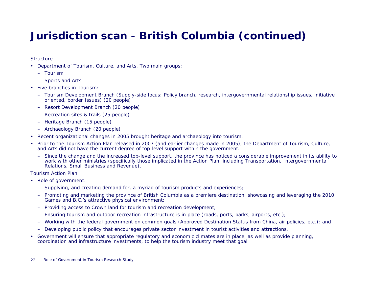#### **Jurisdiction scan - British Columbia (continued)**

#### **Structure**

- Department of Tourism, Culture, and Arts. Two main groups:
	- Tourism
	- Sports and Arts
- Five branches in Tourism:
	- Tourism Development Branch (Supply-side focus: Policy branch, research, intergovernmental relationship issues, initiative oriented, border Issues) (20 people)
	- Resort Development Branch (20 people)
	- Recreation sites & trails (25 people)
	- Heritage Branch (15 people)
	- Archaeology Branch (20 people)
- Recent organizational changes in 2005 brought heritage and archaeology into tourism.
- • Prior to the Tourism Action Plan released in 2007 (and earlier changes made in 2005), the Department of Tourism, Culture, and Arts did not have the current degree of top-level support within the government.
	- Since the change and the increased top-level support, the province has noticed a considerable improvement in its ability to work with other ministries (specifically those implicated in the Action Plan, including Transportation, Intergovernmental Relations, Small Business and Revenue).

#### Tourism Action Plan

- Role of government:
	- Supplying, and creating demand for, a myriad of tourism products and experiences;
	- Promoting and marketing the province of British Columbia as a premiere destination, showcasing and leveraging the 2010 Games and B.C.'s attractive physical environment;
	- Providing access to Crown land for tourism and recreation development;
	- –Ensuring tourism and outdoor recreation infrastructure is in place (roads, ports, parks, airports, etc.);
	- Working with the federal government on common goals (Approved Destination Status from China, air policies, etc.); and
	- Developing public policy that encourages private sector investment in tourist activities and attractions.
- • Government will ensure that appropriate regulatory and economic climates are in place, as well as provide planning, coordination and infrastructure investments, to help the tourism industry meet that goal.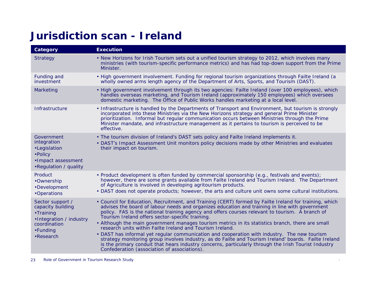#### **Jurisdiction scan - Ireland**

| Category                                                                                                               | <b>Execution</b>                                                                                                                                                                                                                                                                                                                                                                                                                                                                                                                                                                                                                                                                                                                                                                                                                                                                                  |
|------------------------------------------------------------------------------------------------------------------------|---------------------------------------------------------------------------------------------------------------------------------------------------------------------------------------------------------------------------------------------------------------------------------------------------------------------------------------------------------------------------------------------------------------------------------------------------------------------------------------------------------------------------------------------------------------------------------------------------------------------------------------------------------------------------------------------------------------------------------------------------------------------------------------------------------------------------------------------------------------------------------------------------|
| <b>Strategy</b>                                                                                                        | • New Horizons for Irish Tourism sets out a unified tourism strategy to 2012, which involves many<br>ministries (with tourism-specific performance metrics) and has had top-down support from the Prime<br>Minister.                                                                                                                                                                                                                                                                                                                                                                                                                                                                                                                                                                                                                                                                              |
| Funding and<br>investment                                                                                              | • High government involvement. Funding for regional tourism organizations through Failte Ireland (a<br>wholly owned arms length agency of the Department of Arts, Sports, and Tourism (DAST).                                                                                                                                                                                                                                                                                                                                                                                                                                                                                                                                                                                                                                                                                                     |
| Marketing                                                                                                              | • High government involvement through its two agencies: Failte Ireland (over 100 employees), which<br>handles overseas marketing, and Tourism Ireland (approximately 150 employees) which oversees<br>domestic marketing. The Office of Public Works handles marketing at a local level.                                                                                                                                                                                                                                                                                                                                                                                                                                                                                                                                                                                                          |
| Infrastructure                                                                                                         | • Infrastructure is handled by the Departments of Transport and Environment, but tourism is strongly<br>incorporated into these Ministries via the New Horizons strategy and general Prime Minister<br>prioritization. Informal but regular communication occurs between Ministries through the Prime<br>Minister mandate, and infrastructure management as it pertains to tourism is perceived to be<br>effective.                                                                                                                                                                                                                                                                                                                                                                                                                                                                               |
| Government<br>integration<br>•Legislation<br>• Policy<br>·Impact assessment<br>.Regulation / quality                   | • The tourism division of Ireland's DAST sets policy and Failte Ireland implements it.<br>• DAST's Impact Assessment Unit monitors policy decisions made by other Ministries and evaluates<br>their impact on tourism.                                                                                                                                                                                                                                                                                                                                                                                                                                                                                                                                                                                                                                                                            |
| Product<br>•Ownership<br>•Development<br>•Operations                                                                   | • Product development is often funded by commercial sponsorship (e.g., festivals and events);<br>however, there are some grants available from Failte Ireland and Tourism Ireland. The Department<br>of Agriculture is involved in developing agritourism products.<br>• DAST does not operate products; however, the arts and culture unit owns some cultural institutions.                                                                                                                                                                                                                                                                                                                                                                                                                                                                                                                      |
| Sector support /<br>capacity building<br>•Training<br>•Integration / industry<br>coordination<br>•Funding<br>•Research | • Council for Education, Recruitment, and Training (CERT) formed by Failte Ireland for training, which<br>advises the board of labour needs and organizes education and training in line with government<br>policy. FAS is the national training agency and offers courses relevant to tourism. A branch of<br>Tourism Ireland offers sector-specific training.<br>. Although the main government manages tourism metrics in its statistics branch, there are small<br>research units within Failte Ireland and Tourism Ireland.<br>• DAST has informal yet regular communication and cooperation with industry. The new tourism<br>strategy monitoring group involves industry, as do Failte and Tourism Ireland' boards. Failte Ireland<br>is the primary conduit that hears industry concerns, particularly through the Irish Tourist Industry<br>Confederation (association of associations). |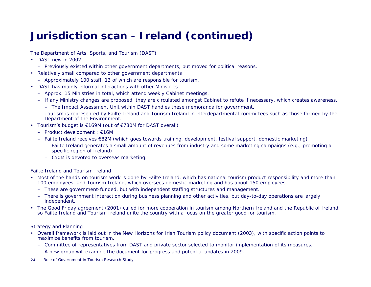#### **Jurisdiction scan - Ireland (continued)**

The Department of Arts, Sports, and Tourism (DAST)

- DAST new in 2002
	- Previously existed within other government departments, but moved for political reasons.
- Relatively small compared to other government departments
	- Approximately 100 staff, 13 of which are responsible for tourism.
- DAST has mainly informal interactions with other Ministries
	- Approx. 15 Ministries in total, which attend weekly Cabinet meetings.
	- If any Ministry changes are proposed, they are circulated amongst Cabinet to refute if necessary, which creates awareness.
		- The Impact Assessment Unit within DAST handles these memoranda for government.
	- Tourism is represented by Failte Ireland and Tourism Ireland in interdepartmental committees such as those formed by the Department of the Environment.
- Tourism's budget is €169M (out of €730M for DAST overall)
	- Product development : €16M
	- Failte Ireland receives €82M (which goes towards training, development, festival support, domestic marketing)
		- Failte Ireland generates a small amount of revenues from industry and some marketing campaigns (e.g., promoting a specific region of Ireland).
		- €50M is devoted to overseas marketing.

Failte Ireland and Tourism Ireland

- Most of the hands-on tourism work is done by Failte Ireland, which has national tourism product responsibility and more than 100 employees, and Tourism Ireland, which oversees domestic marketing and has about 150 employees.
	- These are government-funded, but with independent staffing structures and management.
	- There is government interaction during business planning and other activities, but day-to-day operations are largely independent.
- The Good Friday agreement (2001) called for more cooperation in tourism among Northern Ireland and the Republic of Ireland, so Failte Ireland and Tourism Ireland unite the country with a focus on the greater good for tourism.

Strategy and Planning

- Overall framework is laid out in the New Horizons for Irish Tourism policy document (2003), with specific action points to maximize benefits from tourism.
	- Committee of representatives from DAST and private sector selected to monitor implementation of its measures.
	- A new group will examine the document for progress and potential updates in 2009.
- 24Role of Government in Tourism Research Study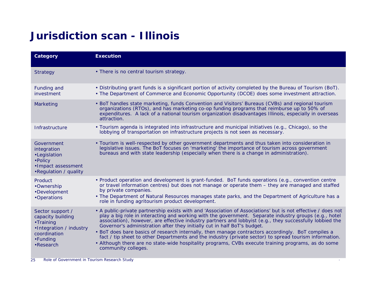### **Jurisdiction scan - Illinois**

| Category                                                                                                               | <b>Execution</b>                                                                                                                                                                                                                                                                                                                                                                                                                                                                                                                                                                                                                                                                                                                                            |
|------------------------------------------------------------------------------------------------------------------------|-------------------------------------------------------------------------------------------------------------------------------------------------------------------------------------------------------------------------------------------------------------------------------------------------------------------------------------------------------------------------------------------------------------------------------------------------------------------------------------------------------------------------------------------------------------------------------------------------------------------------------------------------------------------------------------------------------------------------------------------------------------|
| Strategy                                                                                                               | • There is no central tourism strategy.                                                                                                                                                                                                                                                                                                                                                                                                                                                                                                                                                                                                                                                                                                                     |
| Funding and<br>investment                                                                                              | . Distributing grant funds is a significant portion of activity completed by the Bureau of Tourism (BoT).<br>• The Department of Commerce and Economic Opportunity (DCOE) does some investment attraction.                                                                                                                                                                                                                                                                                                                                                                                                                                                                                                                                                  |
| Marketing                                                                                                              | • BoT handles state marketing, funds Convention and Visitors' Bureaus (CVBs) and regional tourism<br>organizations (RTOs), and has marketing co-op funding programs that reimburse up to 50% of<br>expenditures. A lack of a national tourism organization disadvantages Illinois, especially in overseas<br>attraction.                                                                                                                                                                                                                                                                                                                                                                                                                                    |
| Infrastructure                                                                                                         | • Tourism agenda is integrated into infrastructure and municipal initiatives (e.g., Chicago), so the<br>lobbying of transportation on infrastructure projects is not seen as necessary.                                                                                                                                                                                                                                                                                                                                                                                                                                                                                                                                                                     |
| Government<br>integration<br>•Legislation<br>• Policy<br>·Impact assessment<br>.Regulation / quality                   | • Tourism is well-respected by other government departments and thus taken into consideration in<br>legislative issues. The BoT focuses on 'marketing' the importance of tourism across government<br>bureaus and with state leadership (especially when there is a change in administration).                                                                                                                                                                                                                                                                                                                                                                                                                                                              |
| Product<br>•Ownership<br>•Development<br>•Operations                                                                   | • Product operation and development is grant-funded. BoT funds operations (e.g., convention centre<br>or travel information centres) but does not manage or operate them – they are managed and staffed<br>by private companies.<br>• The Department of Natural Resources manages state parks, and the Department of Agriculture has a<br>role in funding agritourism product development.                                                                                                                                                                                                                                                                                                                                                                  |
| Sector support /<br>capacity building<br>•Training<br>•Integration / industry<br>coordination<br>•Funding<br>•Research | • A public-private partnership exists with and 'Association of Associations' but is not effective / does not<br>play a big role in interacting and working with the government. Separate industry groups (e.g., hotel<br>association), however, are effective industry partners and lobbyist (e.g., they successfully lobbied the<br>Governor's administration after they initially cut in half BoT's budget.<br>• BoT does bare basics of research internally, then manage contractors accordingly. BoT compiles a<br>fact / tip sheet to other Departments and the industry (private sector) to spread tourism information.<br>• Although there are no state-wide hospitality programs, CVBs execute training programs, as do some<br>community colleges. |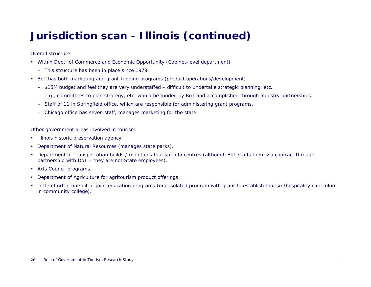### **Jurisdiction scan - Illinois (continued)**

#### Overall structure

- Within Dept. of Commerce and Economic Opportunity (Cabinet-level department)
	- This structure has been in place since 1979.
- BoT has both marketing and grant-funding programs (product operations/development)
	- \$15M budget and feel they are very understaffed difficult to undertake strategic planning, etc.
	- –e.g., committees to plan strategy, etc. would be funded by BoT and accomplished through industry partnerships.
	- Staff of 11 in Springfield office, which are responsible for administering grant programs.
	- –Chicago office has seven staff, manages marketing for the state.

Other government areas involved in tourism

- Illinois historic preservation agency.
- •Department of Natural Resources (manages state parks).
- • Department of Transportation builds / maintains tourism info centres (although BoT staffs them via contract through partnership with DoT – they are not State employees).
- Arts Council programs.
- •Department of Agriculture for agritourism product offerings.
- Little effort in pursuit of joint education programs (one isolated program with grant to establish tourism/hospitality curriculum in community college).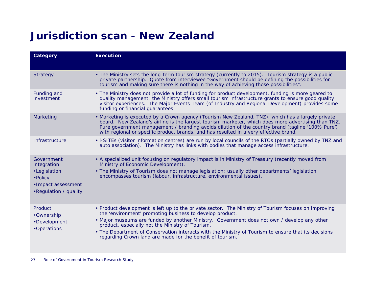#### **Jurisdiction scan - New Zealand**

| Category                                                                                             | <b>Execution</b>                                                                                                                                                                                                                                                                                                                                                                                                                                                                         |
|------------------------------------------------------------------------------------------------------|------------------------------------------------------------------------------------------------------------------------------------------------------------------------------------------------------------------------------------------------------------------------------------------------------------------------------------------------------------------------------------------------------------------------------------------------------------------------------------------|
| <b>Strategy</b>                                                                                      | • The Ministry sets the long-term tourism strategy (currently to 2015). Tourism strategy is a public-<br>private partnership. Quote from interviewee "Government should be defining the possibilities for<br>tourism and making sure there is nothing in the way of achieving those possibilities".                                                                                                                                                                                      |
| Funding and<br>investment                                                                            | • The Ministry does not provide a lot of funding for product development, funding is more geared to<br>quality management: the Ministry offers small tourism infrastructure grants to ensure good quality<br>visitor experiences. The Major Events Team (of Industry and Regional Development) provides some<br>funding or financial guarantees.                                                                                                                                         |
| Marketing                                                                                            | • Marketing is executed by a Crown agency (Tourism New Zealand, TNZ), which has a largely private<br>board. New Zealand's airline is the largest tourism marketer, which does more advertising than TNZ.<br>Pure government management / branding avoids dilution of the country brand (tagline '100% Pure')<br>with regional or specific product brands, and has resulted in a very effective brand.                                                                                    |
| Infrastructure                                                                                       | • i-SITEs (visitor information centres) are run by local councils of the RTOs (partially owned by TNZ and<br>auto association). The Ministry has links with bodies that manage access infrastructure.                                                                                                                                                                                                                                                                                    |
| Government<br>integration<br>•Legislation<br>• Policy<br>•Impact assessment<br>•Regulation / quality | • A specialized unit focusing on regulatory impact is in Ministry of Treasury (recently moved from<br>Ministry of Economic Development).<br>• The Ministry of Tourism does not manage legislation; usually other departments' legislation<br>encompasses tourism (labour, infrastructure, environmental issues).                                                                                                                                                                         |
| Product<br>•Ownership<br>•Development<br>•Operations                                                 | • Product development is left up to the private sector. The Ministry of Tourism focuses on improving<br>the 'environment' promoting business to develop product.<br>• Major museums are funded by another Ministry. Government does not own / develop any other<br>product, especially not the Ministry of Tourism.<br>• The Department of Conservation interacts with the Ministry of Tourism to ensure that its decisions<br>regarding Crown land are made for the benefit of tourism. |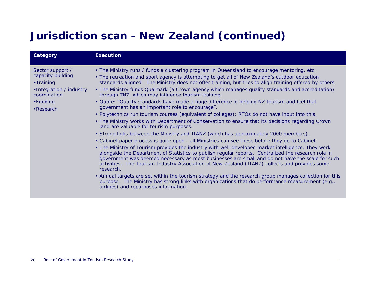### **Jurisdiction scan - New Zealand (continued)**

| Category                                                                                                                | <b>Execution</b>                                                                                                                                                                                                                                                                                                                                                                                                                                                                                                                                                                                                                                                                                                                                                                                                                                                                                                                                                                                                                                                                                                                                                                                                                                                                                                                                                                                                                                                                                                                                                                                                                                                                                                                                         |
|-------------------------------------------------------------------------------------------------------------------------|----------------------------------------------------------------------------------------------------------------------------------------------------------------------------------------------------------------------------------------------------------------------------------------------------------------------------------------------------------------------------------------------------------------------------------------------------------------------------------------------------------------------------------------------------------------------------------------------------------------------------------------------------------------------------------------------------------------------------------------------------------------------------------------------------------------------------------------------------------------------------------------------------------------------------------------------------------------------------------------------------------------------------------------------------------------------------------------------------------------------------------------------------------------------------------------------------------------------------------------------------------------------------------------------------------------------------------------------------------------------------------------------------------------------------------------------------------------------------------------------------------------------------------------------------------------------------------------------------------------------------------------------------------------------------------------------------------------------------------------------------------|
| Sector support /<br>capacity building<br>•Training<br>•Integration / industry<br>coordination<br>•Funding<br>• Research | . The Ministry runs / funds a clustering program in Queensland to encourage mentoring, etc.<br>• The recreation and sport agency is attempting to get all of New Zealand's outdoor education<br>standards aligned. The Ministry does not offer training, but tries to align training offered by others.<br>• The Ministry funds Qualmark (a Crown agency which manages quality standards and accreditation)<br>through TNZ, which may influence tourism training.<br>• Quote: "Quality standards have made a huge difference in helping NZ tourism and feel that<br>government has an important role to encourage".<br>• Polytechnics run tourism courses (equivalent of colleges); RTOs do not have input into this.<br>• The Ministry works with Department of Conservation to ensure that its decisions regarding Crown<br>land are valuable for tourism purposes.<br>• Strong links between the Ministry and TIANZ (which has approximately 2000 members).<br>• Cabinet paper process is quite open - all Ministries can see these before they go to Cabinet.<br>• The Ministry of Tourism provides the industry with well-developed market intelligence. They work<br>alongside the Department of Statistics to publish regular reports. Centralized the research role in<br>government was deemed necessary as most businesses are small and do not have the scale for such<br>activities. The Tourism Industry Association of New Zealand (TIANZ) collects and provides some<br>research.<br>• Annual targets are set within the tourism strategy and the research group manages collection for this<br>purpose. The Ministry has strong links with organizations that do performance measurement (e.g.,<br>airlines) and repurposes information. |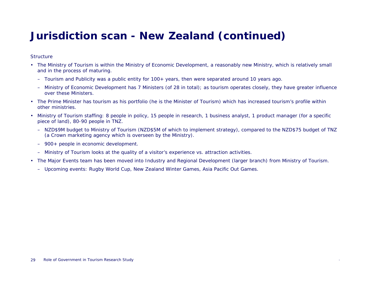#### **Jurisdiction scan - New Zealand (continued)**

#### **Structure**

- The Ministry of Tourism is within the Ministry of Economic Development, a reasonably new Ministry, which is relatively small and in the process of maturing.
	- Tourism and Publicity was a public entity for 100+ years, then were separated around 10 years ago.
	- Ministry of Economic Development has 7 Ministers (of 28 in total); as tourism operates closely, they have greater influence over these Ministers.
- The Prime Minister has tourism as his portfolio (he is the Minister of Tourism) which has increased tourism's profile within other ministries.
- Ministry of Tourism staffing: 8 people in policy, 15 people in research, 1 business analyst, 1 product manager (for a specific piece of land), 80-90 people in TNZ.
	- NZD\$9M budget to Ministry of Tourism (NZD\$5M of which to implement strategy), compared to the NZD\$75 budget of TNZ (a Crown marketing agency which is overseen by the Ministry).
	- 900+ people in economic development.
	- Ministry of Tourism looks at the quality of a visitor's experience vs. attraction activities.
- The Major Events team has been moved into Industry and Regional Development (larger branch) from Ministry of Tourism.
	- Upcoming events: Rugby World Cup, New Zealand Winter Games, Asia Pacific Out Games.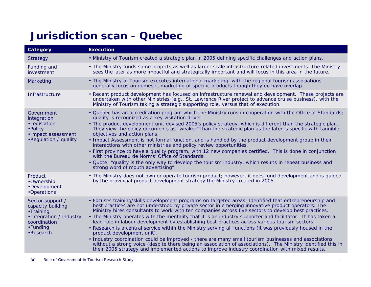#### **Jurisdiction scan - Quebec**

| Category                                                                                                               | <b>Execution</b>                                                                                                                                                                                                                                                                                                                                                                                                                                                                                                                                                                                                                                                                                                                                                                                                                                                                                                                                                                                             |
|------------------------------------------------------------------------------------------------------------------------|--------------------------------------------------------------------------------------------------------------------------------------------------------------------------------------------------------------------------------------------------------------------------------------------------------------------------------------------------------------------------------------------------------------------------------------------------------------------------------------------------------------------------------------------------------------------------------------------------------------------------------------------------------------------------------------------------------------------------------------------------------------------------------------------------------------------------------------------------------------------------------------------------------------------------------------------------------------------------------------------------------------|
| <b>Strategy</b>                                                                                                        | . Ministry of Tourism created a strategic plan in 2005 defining specific challenges and action plans.                                                                                                                                                                                                                                                                                                                                                                                                                                                                                                                                                                                                                                                                                                                                                                                                                                                                                                        |
| Funding and<br>investment                                                                                              | • The Ministry funds some projects as well as larger scale infrastructure-related investments. The Ministry<br>sees the later as more impactful and strategically important and will focus in this area in the future.                                                                                                                                                                                                                                                                                                                                                                                                                                                                                                                                                                                                                                                                                                                                                                                       |
| Marketing                                                                                                              | • The Ministry of Tourism executes international marketing, with the regional tourism associations<br>generally focus on domestic marketing of specific products though they do have overlap.                                                                                                                                                                                                                                                                                                                                                                                                                                                                                                                                                                                                                                                                                                                                                                                                                |
| Infrastructure                                                                                                         | • Recent product development has focused on infrastructure renewal and development. These projects are<br>undertaken with other Ministries (e.g., St. Lawrence River project to advance cruise business), with the<br>Ministry of Tourism taking a strategic supporting role, versus that of execution.                                                                                                                                                                                                                                                                                                                                                                                                                                                                                                                                                                                                                                                                                                      |
| Government<br>integration<br>•Legislation<br>• Policy<br>·Impact assessment<br>•Regulation / quality                   | . Quebec has an accreditation program which the Ministry runs in cooperation with the Office of Standards;<br>quality is recognized as a key visitation driver.<br>. The product development unit devised 2005's policy strategy, which is different than the strategic plan.<br>They view the policy documents as "weaker" than the strategic plan as the later is specific with tangible<br>objectives and action plans.<br>. Impact Assessment is not formal function, and is handled by the product development group in their<br>interactions with other ministries and policy review opportunities.<br>• First province to have a quality program, with 12 new companies certified. This is done in conjunction<br>with the Bureau de Norms' Office of Standards.<br>. Quote: "quality is the only way to develop the tourism industry, which results in repeat business and<br>strong word of mouth advertising".                                                                                     |
| Product<br>•Ownership<br>•Development<br>•Operations                                                                   | • The Ministry does not own or operate tourism product; however, it does fund development and is guided<br>by the provincial product development strategy the Ministry created in 2005.                                                                                                                                                                                                                                                                                                                                                                                                                                                                                                                                                                                                                                                                                                                                                                                                                      |
| Sector support /<br>capacity building<br>•Training<br>•Integration / industry<br>coordination<br>•Funding<br>•Research | • Focuses training/skills development programs on targeted areas. Identified that entrepreneurship and<br>best practices are not understood by private sector in emerging innovative product operators. The<br>Ministry hires consultants to work with ten companies across five sectors to develop best practices.<br>• The Ministry operates with the mentality that it is an industry supporter and facilitator. It has taken a<br>lead role in labour development by establishing best practices across various tourism sectors.<br>. Research is a central service within the Ministry serving all functions (it was previously housed in the<br>product development unit).<br>• Industry coordination could be improved - there are many small tourism businesses and associations<br>without a strong voice (despite there being an association of associations). The Ministry identified this in<br>their 2005 strategy and implemented actions to improve industry coordination with mixed results. |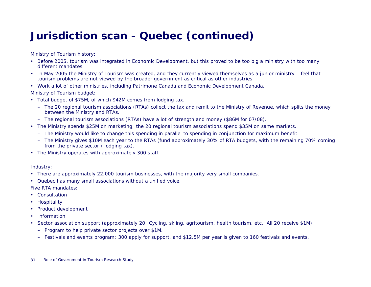#### **Jurisdiction scan - Quebec (continued)**

Ministry of Tourism history:

- Before 2005, tourism was integrated in Economic Development, but this proved to be too big a ministry with too many different mandates.
- In May 2005 the Ministry of Tourism was created, and they currently viewed themselves as a junior ministry feel that tourism problems are not viewed by the broader government as critical as other industries.
- Work a lot of other ministries, including Patrimone Canada and Economic Development Canada.

Ministry of Tourism budget:

- Total budget of \$75M, of which \$42M comes from lodging tax.
	- The 20 regional tourism associations (RTAs) collect the tax and remit to the Ministry of Revenue, which splits the money between the Ministry and RTAs.
	- The regional tourism associations (RTAs) have a lot of strength and money (\$86M for 07/08).
- The Ministry spends \$25M on marketing; the 20 regional tourism associations spend \$35M on same markets.
	- The Ministry would like to change this spending in parallel to spending in conjunction for maximum benefit.
	- The Ministry gives \$10M each year to the RTAs (fund approximately 30% of RTA budgets, with the remaining 70% coming from the private sector / lodging tax).
- The Ministry operates with approximately 300 staff.

Industry:

- There are approximately 22,000 tourism businesses, with the majority very small companies.
- Quebec has many small associations without a unified voice.

Five RTA mandates:

- Consultation
- Hospitality
- Product development
- Information
- • Sector association support (approximately 20: Cycling, skiing, agritourism, health tourism, etc. All 20 receive \$1M)
	- Program to help private sector projects over \$1M.
	- Festivals and events program: 300 apply for support, and \$12.5M per year is given to 160 festivals and events.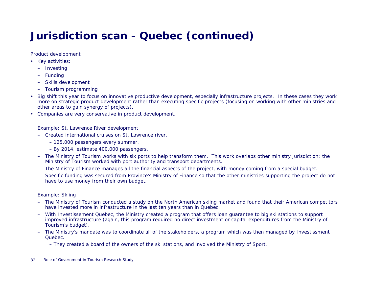#### **Jurisdiction scan - Quebec (continued)**

Product development

- Key activities:
	- Investing
	- –**Funding**
	- –Skills development
	- Tourism programming
- Big shift this year to focus on innovative productive development, especially infrastructure projects. In these cases they work more on strategic product development rather than executing specific projects (focusing on working with other ministries and other areas to gain synergy of projects).
- Companies are very conservative in product development.

Example: St. Lawrence River development

- Created international cruises on St. Lawrence river.
	- 125,000 passengers every summer.
	- By 2014, estimate 400,000 passengers.
- The Ministry of Tourism works with six ports to help transform them. This work overlaps other ministry jurisdiction: the Ministry of Tourism worked with port authority and transport departments.
- The Ministry of Finance manages all the financial aspects of the project, with money coming from a special budget.
- Specific funding was secured from Province's Ministry of Finance so that the other ministries supporting the project do not have to use money from their own budget.

#### Example: Skiing

- The Ministry of Tourism conducted a study on the North American skiing market and found that their American competitors have invested more in infrastructure in the last ten years than in Quebec.
- With Investissement Quebec, the Ministry created a program that offers loan guarantee to big ski stations to support improved infrastructure (again, this program required no direct investment or capital expenditures from the Ministry of Tourism's budget).
- The Ministry's mandate was to coordinate all of the stakeholders, a program which was then managed by Investissment Quebec.

– They created a board of the owners of the ski stations, and involved the Ministry of Sport.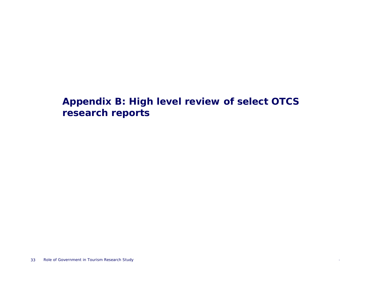#### **Appendix B: High level review of select OTCS research reports**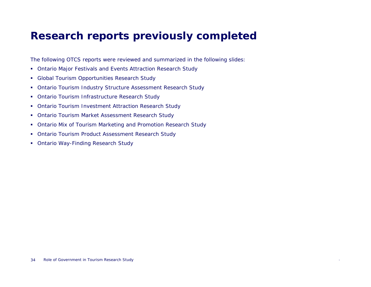#### **Research reports previously completed**

The following OTCS reports were reviewed and summarized in the following slides:

- Ontario Major Festivals and Events Attraction Research Study
- Global Tourism Opportunities Research Study
- Ontario Tourism Industry Structure Assessment Research Study
- Ontario Tourism Infrastructure Research Study
- Ontario Tourism Investment Attraction Research Study
- $\mathcal{L}_{\rm{max}}$ Ontario Tourism Market Assessment Research Study
- Ontario Mix of Tourism Marketing and Promotion Research Study
- Ontario Tourism Product Assessment Research Study
- Ontario Way-Finding Research Study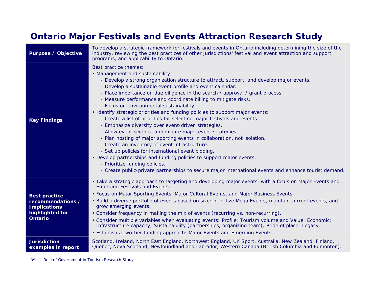#### **Ontario Major Festivals and Events Attraction Research Study**

| <b>Purpose / Objective</b>                                                                            | To develop a strategic framework for festivals and events in Ontario including determining the size of the<br>industry, reviewing the best practices of other jurisdictions' festival and event attraction and support<br>programs, and applicability to Ontario.                                                                                                                                                                                                                                                                                                                                                                                                                                                                                                                                                                                                                                                                                                                                                                                                                                         |
|-------------------------------------------------------------------------------------------------------|-----------------------------------------------------------------------------------------------------------------------------------------------------------------------------------------------------------------------------------------------------------------------------------------------------------------------------------------------------------------------------------------------------------------------------------------------------------------------------------------------------------------------------------------------------------------------------------------------------------------------------------------------------------------------------------------------------------------------------------------------------------------------------------------------------------------------------------------------------------------------------------------------------------------------------------------------------------------------------------------------------------------------------------------------------------------------------------------------------------|
| <b>Key Findings</b>                                                                                   | Best practice themes:<br>• Management and sustainability:<br>- Develop a strong organization structure to attract, support, and develop major events.<br>- Develop a sustainable event profile and event calendar.<br>- Place importance on due diligence in the search / approval / grant process.<br>- Measure performance and coordinate billing to mitigate risks.<br>- Focus on environmental sustainability.<br>• Identify strategic priorities and funding policies to support major events:<br>- Create a list of priorities for selecting major festivals and events.<br>- Emphasize diversity over event-driven strategies.<br>- Allow event sectors to dominate major event strategies.<br>- Plan hosting of major sporting events in collaboration, not isolation.<br>- Create an inventory of event infrastructure.<br>- Set up policies for international event bidding.<br>• Develop partnerships and funding policies to support major events:<br>- Prioritize funding policies.<br>- Create public-private partnerships to secure major international events and enhance tourist demand. |
| <b>Best practice</b><br>recommendations /<br><b>Implications</b><br>highlighted for<br><b>Ontario</b> | • Take a strategic approach to targeting and developing major events, with a focus on Major Events and<br><b>Emerging Festivals and Events.</b><br>• Focus on Major Sporting Events, Major Cultural Events, and Major Business Events.<br>• Build a diverse portfolio of events based on size: prioritize Mega Events, maintain current events, and<br>grow emerging events.<br>• Consider frequency in making the mix of events (recurring vs. non-recurring).<br>• Consider multiple variables when evaluating events: Profile; Tourism volume and Value; Economic;<br>Infrastructure capacity; Sustainability (partnerships, organizing team); Pride of place; Legacy.<br>• Establish a two-tier funding approach: Major Events and Emerging Events.                                                                                                                                                                                                                                                                                                                                                   |
| <b>Jurisdiction</b><br>examples in report                                                             | Scotland, Ireland, North East England, Northwest England, UK Sport, Australia, New Zealand, Finland,<br>Quebec, Nova Scotland, Newfoundland and Labrador, Western Canada (British Columbia and Edmonton).                                                                                                                                                                                                                                                                                                                                                                                                                                                                                                                                                                                                                                                                                                                                                                                                                                                                                                 |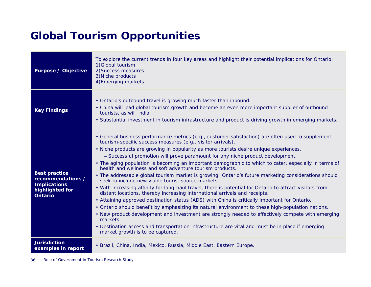### **Global Tourism Opportunities**

| <b>Purpose / Objective</b>                                                                            | To explore the current trends in four key areas and highlight their potential implications for Ontario:<br>1) Global tourism<br>2) Success measures<br>3) Niche products<br>4) Emerging markets                                                                                                                                                                                                                                                                                                                                                                                                                                                                                                                                                                                                                                                                                                                                                                                                                                                                                                                                                                                                                                                                                                                                           |
|-------------------------------------------------------------------------------------------------------|-------------------------------------------------------------------------------------------------------------------------------------------------------------------------------------------------------------------------------------------------------------------------------------------------------------------------------------------------------------------------------------------------------------------------------------------------------------------------------------------------------------------------------------------------------------------------------------------------------------------------------------------------------------------------------------------------------------------------------------------------------------------------------------------------------------------------------------------------------------------------------------------------------------------------------------------------------------------------------------------------------------------------------------------------------------------------------------------------------------------------------------------------------------------------------------------------------------------------------------------------------------------------------------------------------------------------------------------|
| <b>Key Findings</b>                                                                                   | • Ontario's outbound travel is growing much faster than inbound.<br>• China will lead global tourism growth and become an even more important supplier of outbound<br>tourists, as will India.<br>. Substantial investment in tourism infrastructure and product is driving growth in emerging markets.                                                                                                                                                                                                                                                                                                                                                                                                                                                                                                                                                                                                                                                                                                                                                                                                                                                                                                                                                                                                                                   |
| <b>Best practice</b><br>recommendations /<br><b>Implications</b><br>highlighted for<br><b>Ontario</b> | • General business performance metrics (e.g., customer satisfaction) are often used to supplement<br>tourism-specific success measures (e.g., visitor arrivals).<br>. Niche products are growing in popularity as more tourists desire unique experiences.<br>- Successful promotion will prove paramount for any niche product development.<br>• The aging population is becoming an important demographic to which to cater, especially in terms of<br>health and wellness and soft adventure tourism products.<br>• The addressable global tourism market is growing; Ontario's future marketing considerations should<br>seek to include new viable tourist source markets.<br>. With increasing affinity for long-haul travel, there is potential for Ontario to attract visitors from<br>distant locations, thereby increasing international arrivals and receipts.<br>• Attaining approved destination status (ADS) with China is critically important for Ontario.<br>. Ontario should benefit by emphasizing its natural environment to these high-population nations.<br>• New product development and investment are strongly needed to effectively compete with emerging<br>markets.<br>• Destination access and transportation infrastructure are vital and must be in place if emerging<br>market growth is to be captured. |
| <b>Jurisdiction</b><br>examples in report                                                             | • Brazil, China, India, Mexico, Russia, Middle East, Eastern Europe.                                                                                                                                                                                                                                                                                                                                                                                                                                                                                                                                                                                                                                                                                                                                                                                                                                                                                                                                                                                                                                                                                                                                                                                                                                                                      |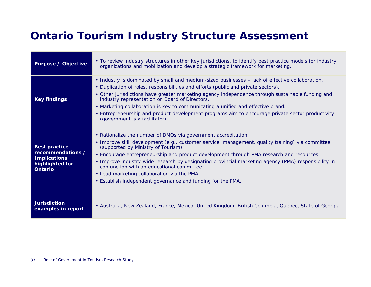### **Ontario Tourism Industry Structure Assessment**

| <b>Purpose / Objective</b>                                                                            | • To review industry structures in other key jurisdictions, to identify best practice models for industry<br>organizations and mobilization and develop a strategic framework for marketing.                                                                                                                                                                                                                                                                                                                                                                             |
|-------------------------------------------------------------------------------------------------------|--------------------------------------------------------------------------------------------------------------------------------------------------------------------------------------------------------------------------------------------------------------------------------------------------------------------------------------------------------------------------------------------------------------------------------------------------------------------------------------------------------------------------------------------------------------------------|
| <b>Key findings</b>                                                                                   | • Industry is dominated by small and medium-sized businesses - lack of effective collaboration.<br>• Duplication of roles, responsibilities and efforts (public and private sectors).<br>• Other jurisdictions have greater marketing agency independence through sustainable funding and<br>industry representation on Board of Directors.<br>• Marketing collaboration is key to communicating a unified and effective brand.<br>• Entrepreneurship and product development programs aim to encourage private sector productivity<br>(government is a facilitator).    |
| <b>Best practice</b><br>recommendations /<br><b>Implications</b><br>highlighted for<br><b>Ontario</b> | • Rationalize the number of DMOs via government accreditation.<br>• Improve skill development (e.g., customer service, management, quality training) via committee<br>(supported by Ministry of Tourism).<br>• Encourage entrepreneurship and product development through PMA research and resources.<br>• Improve industry-wide research by designating provincial marketing agency (PMA) responsibility in<br>conjunction with an educational committee.<br>• Lead marketing collaboration via the PMA.<br>. Establish independent governance and funding for the PMA. |
| <b>Jurisdiction</b><br>examples in report                                                             | • Australia, New Zealand, France, Mexico, United Kingdom, British Columbia, Quebec, State of Georgia.                                                                                                                                                                                                                                                                                                                                                                                                                                                                    |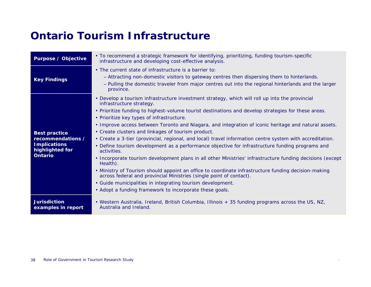#### **Ontario Tourism Infrastructure**

| <b>Purpose / Objective</b>                                                                            | • To recommend a strategic framework for identifying, prioritizing, funding tourism-specific<br>infrastructure and developing cost-effective analysis.                                                                                                                                                                                                                                                                                                                                                                                                                                                                                                                                                                                                                                                                                                                                                                                                                                                                                                                                                     |
|-------------------------------------------------------------------------------------------------------|------------------------------------------------------------------------------------------------------------------------------------------------------------------------------------------------------------------------------------------------------------------------------------------------------------------------------------------------------------------------------------------------------------------------------------------------------------------------------------------------------------------------------------------------------------------------------------------------------------------------------------------------------------------------------------------------------------------------------------------------------------------------------------------------------------------------------------------------------------------------------------------------------------------------------------------------------------------------------------------------------------------------------------------------------------------------------------------------------------|
| <b>Key Findings</b>                                                                                   | • The current state of infrastructure is a barrier to:<br>- Attracting non-domestic visitors to gateway centres then dispersing them to hinterlands.<br>- Pulling the domestic traveler from major centres out into the regional hinterlands and the larger<br>province.                                                                                                                                                                                                                                                                                                                                                                                                                                                                                                                                                                                                                                                                                                                                                                                                                                   |
| <b>Best practice</b><br>recommendations /<br><b>Implications</b><br>highlighted for<br><b>Ontario</b> | • Develop a tourism infrastructure investment strategy, which will roll up into the provincial<br>infrastructure strategy.<br>• Prioritize funding to highest-volume tourist destinations and develop strategies for these areas.<br>• Prioritize key types of infrastructure.<br>• Improve access between Toronto and Niagara, and integration of iconic heritage and natural assets.<br>• Create clusters and linkages of tourism product.<br>• Create a 3-tier (provincial, regional, and local) travel information centre system with accreditation.<br>• Define tourism development as a performance objective for infrastructure funding programs and<br>activities.<br>• Incorporate tourism development plans in all other Ministries' infrastructure funding decisions (except<br>Health).<br>• Ministry of Tourism should appoint an office to coordinate infrastructure funding decision-making<br>across federal and provincial Ministries (single point of contact).<br>• Guide municipalities in integrating tourism development.<br>• Adopt a funding framework to incorporate these goals. |
| <b>Jurisdiction</b><br>examples in report                                                             | . Western Australia, Ireland, British Columbia, Illinois + 35 funding programs across the US, NZ,<br>Australia and Ireland.                                                                                                                                                                                                                                                                                                                                                                                                                                                                                                                                                                                                                                                                                                                                                                                                                                                                                                                                                                                |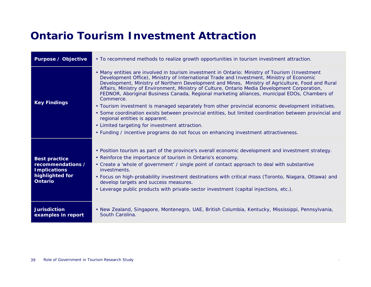### **Ontario Tourism Investment Attraction**

| <b>Purpose / Objective</b>                                                                            | • To recommend methods to realize growth opportunities in tourism investment attraction.                                                                                                                                                                                                                                                                                                                                                                                                                                                                                                                                                                                                                                                                                                                                                                                                                   |
|-------------------------------------------------------------------------------------------------------|------------------------------------------------------------------------------------------------------------------------------------------------------------------------------------------------------------------------------------------------------------------------------------------------------------------------------------------------------------------------------------------------------------------------------------------------------------------------------------------------------------------------------------------------------------------------------------------------------------------------------------------------------------------------------------------------------------------------------------------------------------------------------------------------------------------------------------------------------------------------------------------------------------|
| <b>Key Findings</b>                                                                                   | • Many entities are involved in tourism investment in Ontario: Ministry of Tourism (Investment<br>Development Office), Ministry of International Trade and Investment, Ministry of Economic<br>Development, Ministry of Northern Development and Mines, Ministry of Agriculture, Food and Rural<br>Affairs, Ministry of Environment, Ministry of Culture, Ontario Media Development Corporation,<br>FEDNOR, Aboriginal Business Canada, Regional marketing alliances, municipal EDOs, Chambers of<br>Commerce.<br>• Tourism investment is managed separately from other provincial economic development initiatives.<br>• Some coordination exists between provincial entities, but limited coordination between provincial and<br>regional entities is apparent.<br>• Limited targeting for investment attraction.<br>• Funding / incentive programs do not focus on enhancing investment attractiveness. |
| <b>Best practice</b><br>recommendations /<br><b>Implications</b><br>highlighted for<br><b>Ontario</b> | • Position tourism as part of the province's overall economic development and investment strategy.<br>• Reinforce the importance of tourism in Ontario's economy.<br>• Create a 'whole of government' / single point of contact approach to deal with substantive<br>investments.<br>• Focus on high-probability investment destinations with critical mass (Toronto, Niagara, Ottawa) and<br>develop targets and success measures.<br>• Leverage public products with private-sector investment (capital injections, etc.).                                                                                                                                                                                                                                                                                                                                                                               |
| <b>Jurisdiction</b><br>examples in report                                                             | · New Zealand, Singapore, Montenegro, UAE, British Columbia, Kentucky, Mississippi, Pennsylvania,<br>South Carolina.                                                                                                                                                                                                                                                                                                                                                                                                                                                                                                                                                                                                                                                                                                                                                                                       |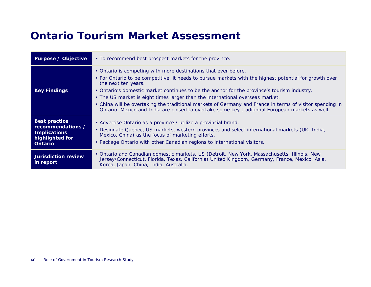#### **Ontario Tourism Market Assessment**

| Purpose / Objective                                                                                   | • To recommend best prospect markets for the province.                                                                                                                                                                                                                                                                                                                                                                                                                                                                                                                                          |
|-------------------------------------------------------------------------------------------------------|-------------------------------------------------------------------------------------------------------------------------------------------------------------------------------------------------------------------------------------------------------------------------------------------------------------------------------------------------------------------------------------------------------------------------------------------------------------------------------------------------------------------------------------------------------------------------------------------------|
| <b>Key Findings</b>                                                                                   | • Ontario is competing with more destinations that ever before.<br>• For Ontario to be competitive, it needs to pursue markets with the highest potential for growth over<br>the next ten years.<br>• Ontario's domestic market continues to be the anchor for the province's tourism industry.<br>• The US market is eight times larger than the international overseas market.<br>• China will be overtaking the traditional markets of Germany and France in terms of visitor spending in<br>Ontario. Mexico and India are poised to overtake some key traditional European markets as well. |
| <b>Best practice</b><br>recommendations /<br><b>Implications</b><br>highlighted for<br><b>Ontario</b> | • Advertise Ontario as a province / utilize a provincial brand.<br>• Designate Quebec, US markets, western provinces and select international markets (UK, India,<br>Mexico, China) as the focus of marketing efforts.<br>• Package Ontario with other Canadian regions to international visitors.                                                                                                                                                                                                                                                                                              |
| <b>Jurisdiction review</b><br>in report                                                               | • Ontario and Canadian domestic markets, US (Detroit, New York, Massachusetts, Illinois, New<br>Jersey/Connecticut, Florida, Texas, California) United Kingdom, Germany, France, Mexico, Asia,<br>Korea, Japan, China, India, Australia.                                                                                                                                                                                                                                                                                                                                                        |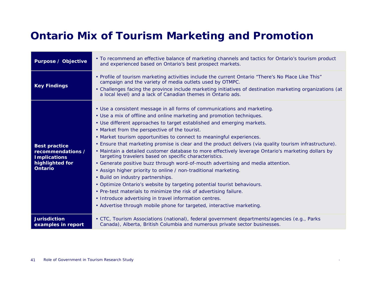### **Ontario Mix of Tourism Marketing and Promotion**

| <b>Purpose / Objective</b>                                                                            | • To recommend an effective balance of marketing channels and tactics for Ontario's tourism product<br>and experienced based on Ontario's best prospect markets.                                                                                                                                                                                                                                                                                                                                                                                                                                                                                                                                                                                                                                                                                                                                                                                                                                                                                                                                               |
|-------------------------------------------------------------------------------------------------------|----------------------------------------------------------------------------------------------------------------------------------------------------------------------------------------------------------------------------------------------------------------------------------------------------------------------------------------------------------------------------------------------------------------------------------------------------------------------------------------------------------------------------------------------------------------------------------------------------------------------------------------------------------------------------------------------------------------------------------------------------------------------------------------------------------------------------------------------------------------------------------------------------------------------------------------------------------------------------------------------------------------------------------------------------------------------------------------------------------------|
| <b>Key Findings</b>                                                                                   | • Profile of tourism marketing activities include the current Ontario "There's No Place Like This"<br>campaign and the variety of media outlets used by OTMPC.<br>• Challenges facing the province include marketing initiatives of destination marketing organizations (at<br>a local level) and a lack of Canadian themes in Ontario ads.                                                                                                                                                                                                                                                                                                                                                                                                                                                                                                                                                                                                                                                                                                                                                                    |
| <b>Best practice</b><br>recommendations /<br><b>Implications</b><br>highlighted for<br><b>Ontario</b> | • Use a consistent message in all forms of communications and marketing.<br>• Use a mix of offline and online marketing and promotion techniques.<br>• Use different approaches to target established and emerging markets.<br>• Market from the perspective of the tourist.<br>• Market tourism opportunities to connect to meaningful experiences.<br>. Ensure that marketing promise is clear and the product delivers (via quality tourism infrastructure).<br>• Maintain a detailed customer database to more effectively leverage Ontario's marketing dollars by<br>targeting travelers based on specific characteristics.<br>• Generate positive buzz through word-of-mouth advertising and media attention.<br>• Assign higher priority to online / non-traditional marketing.<br>• Build on industry partnerships.<br>• Optimize Ontario's website by targeting potential tourist behaviours.<br>• Pre-test materials to minimize the risk of advertising failure.<br>• Introduce advertising in travel information centres.<br>• Advertise through mobile phone for targeted, interactive marketing. |
| <b>Jurisdiction</b><br>examples in report                                                             | • CTC, Tourism Associations (national), federal government departments/agencies (e.g., Parks<br>Canada), Alberta, British Columbia and numerous private sector businesses.                                                                                                                                                                                                                                                                                                                                                                                                                                                                                                                                                                                                                                                                                                                                                                                                                                                                                                                                     |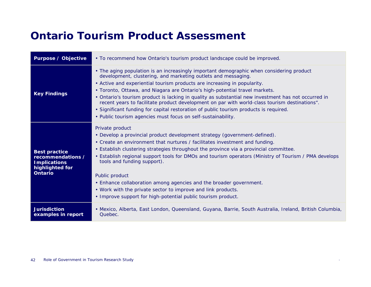#### **Ontario Tourism Product Assessment**

| <b>Purpose / Objective</b>                                                                            | • To recommend how Ontario's tourism product landscape could be improved.                                                                                                                                                                                                                                                                                                                                                                                                                                                                                                                                                                                                             |
|-------------------------------------------------------------------------------------------------------|---------------------------------------------------------------------------------------------------------------------------------------------------------------------------------------------------------------------------------------------------------------------------------------------------------------------------------------------------------------------------------------------------------------------------------------------------------------------------------------------------------------------------------------------------------------------------------------------------------------------------------------------------------------------------------------|
| <b>Key Findings</b>                                                                                   | • The aging population is an increasingly important demographic when considering product<br>development, clustering, and marketing outlets and messaging.<br>• Active and experiential tourism products are increasing in popularity.<br>• Toronto, Ottawa, and Niagara are Ontario's high-potential travel markets.<br>• Ontario's tourism product is lacking in quality as substantial new investment has not occurred in<br>recent years to facilitate product development on par with world-class tourism destinations".<br>. Significant funding for capital restoration of public tourism products is required.<br>• Public tourism agencies must focus on self-sustainability. |
| <b>Best practice</b><br>recommendations /<br><b>Implications</b><br>highlighted for<br><b>Ontario</b> | Private product<br>• Develop a provincial product development strategy (government-defined).<br>• Create an environment that nurtures / facilitates investment and funding.<br>• Establish clustering strategies throughout the province via a provincial committee.<br>• Establish regional support tools for DMOs and tourism operators (Ministry of Tourism / PMA develops<br>tools and funding support).<br>Public product<br>• Enhance collaboration among agencies and the broader government.<br>• Work with the private sector to improve and link products.<br>• Improve support for high-potential public tourism product.                                                  |
| <b>Jurisdiction</b><br>examples in report                                                             | • Mexico, Alberta, East London, Queensland, Guyana, Barrie, South Australia, Ireland, British Columbia,<br>Quebec.                                                                                                                                                                                                                                                                                                                                                                                                                                                                                                                                                                    |